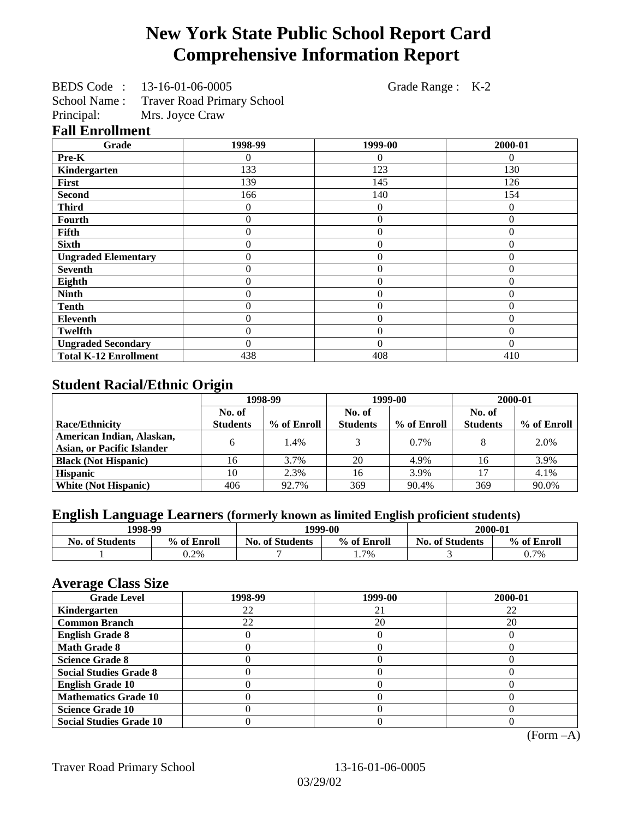# **New York State Public School Report Card Comprehensive Information Report**

BEDS Code : 13-16-01-06-0005 Grade Range : K-2

School Name : Traver Road Primary School<br>Principal: Mrs. Joyce Craw

Mrs. Joyce Craw

## **Fall Enrollment**

| Grade                        | 1998-99          | 1999-00        | 2000-01  |
|------------------------------|------------------|----------------|----------|
| Pre-K                        | 0                | 0              | $\Omega$ |
| Kindergarten                 | 133              | 123            | 130      |
| First                        | 139              | 145            | 126      |
| <b>Second</b>                | 166              | 140            | 154      |
| <b>Third</b>                 | $\Omega$         | $\theta$       | 0        |
| Fourth                       | $\Omega$         | $\overline{0}$ | 0        |
| Fifth                        | $\theta$         | $\overline{0}$ | $\Omega$ |
| <b>Sixth</b>                 | $\overline{0}$   | $\overline{0}$ | $\Omega$ |
| <b>Ungraded Elementary</b>   | $\overline{0}$   | $\overline{0}$ | $\Omega$ |
| <b>Seventh</b>               | $\theta$         | $\overline{0}$ | $\Omega$ |
| Eighth                       | $\boldsymbol{0}$ | $\overline{0}$ | $\Omega$ |
| <b>Ninth</b>                 | $\boldsymbol{0}$ | $\overline{0}$ | $\Omega$ |
| <b>Tenth</b>                 | $\boldsymbol{0}$ | $\overline{0}$ | $\Omega$ |
| <b>Eleventh</b>              | $\theta$         | $\overline{0}$ | $\Omega$ |
| <b>Twelfth</b>               | $\mathbf{0}$     | $\overline{0}$ | $\Omega$ |
| <b>Ungraded Secondary</b>    | $\Omega$         | $\theta$       | $\Omega$ |
| <b>Total K-12 Enrollment</b> | 438              | 408            | 410      |

# **Student Racial/Ethnic Origin**

|                                   | 1998-99         |             | 1999-00         |             | 2000-01         |             |
|-----------------------------------|-----------------|-------------|-----------------|-------------|-----------------|-------------|
|                                   | No. of          |             | No. of          |             | No. of          |             |
| <b>Race/Ethnicity</b>             | <b>Students</b> | % of Enroll | <b>Students</b> | % of Enroll | <b>Students</b> | % of Enroll |
| American Indian, Alaskan,         | 6               | 1.4%        |                 | $0.7\%$     |                 | 2.0%        |
| <b>Asian, or Pacific Islander</b> |                 |             |                 |             |                 |             |
| <b>Black (Not Hispanic)</b>       | 16              | 3.7%        | 20              | 4.9%        | 16              | 3.9%        |
| <b>Hispanic</b>                   | 10              | 2.3%        | 16              | 3.9%        |                 | 4.1%        |
| <b>White (Not Hispanic)</b>       | 406             | 92.7%       | 369             | 90.4%       | 369             | 90.0%       |

# **English Language Learners (formerly known as limited English proficient students)**

| 1998-99                |             | 1999-00                |             | 2000-01                |             |
|------------------------|-------------|------------------------|-------------|------------------------|-------------|
| <b>No. of Students</b> | % of Enroll | <b>No. of Students</b> | % of Enroll | <b>No. of Students</b> | % of Enroll |
|                        | 0.2%        |                        | 1.7%        |                        | 0.7%        |

#### **Average Class Size**

| <b>Grade Level</b>             | 1998-99 | 1999-00 | 2000-01 |
|--------------------------------|---------|---------|---------|
| Kindergarten                   | 22      | 21      | 22      |
| <b>Common Branch</b>           | 22      | 20      | 20      |
| <b>English Grade 8</b>         |         |         |         |
| <b>Math Grade 8</b>            |         |         |         |
| <b>Science Grade 8</b>         |         |         |         |
| <b>Social Studies Grade 8</b>  |         |         |         |
| <b>English Grade 10</b>        |         |         |         |
| <b>Mathematics Grade 10</b>    |         |         |         |
| <b>Science Grade 10</b>        |         |         |         |
| <b>Social Studies Grade 10</b> |         |         |         |

(Form –A)

Traver Road Primary School 13-16-01-06-0005